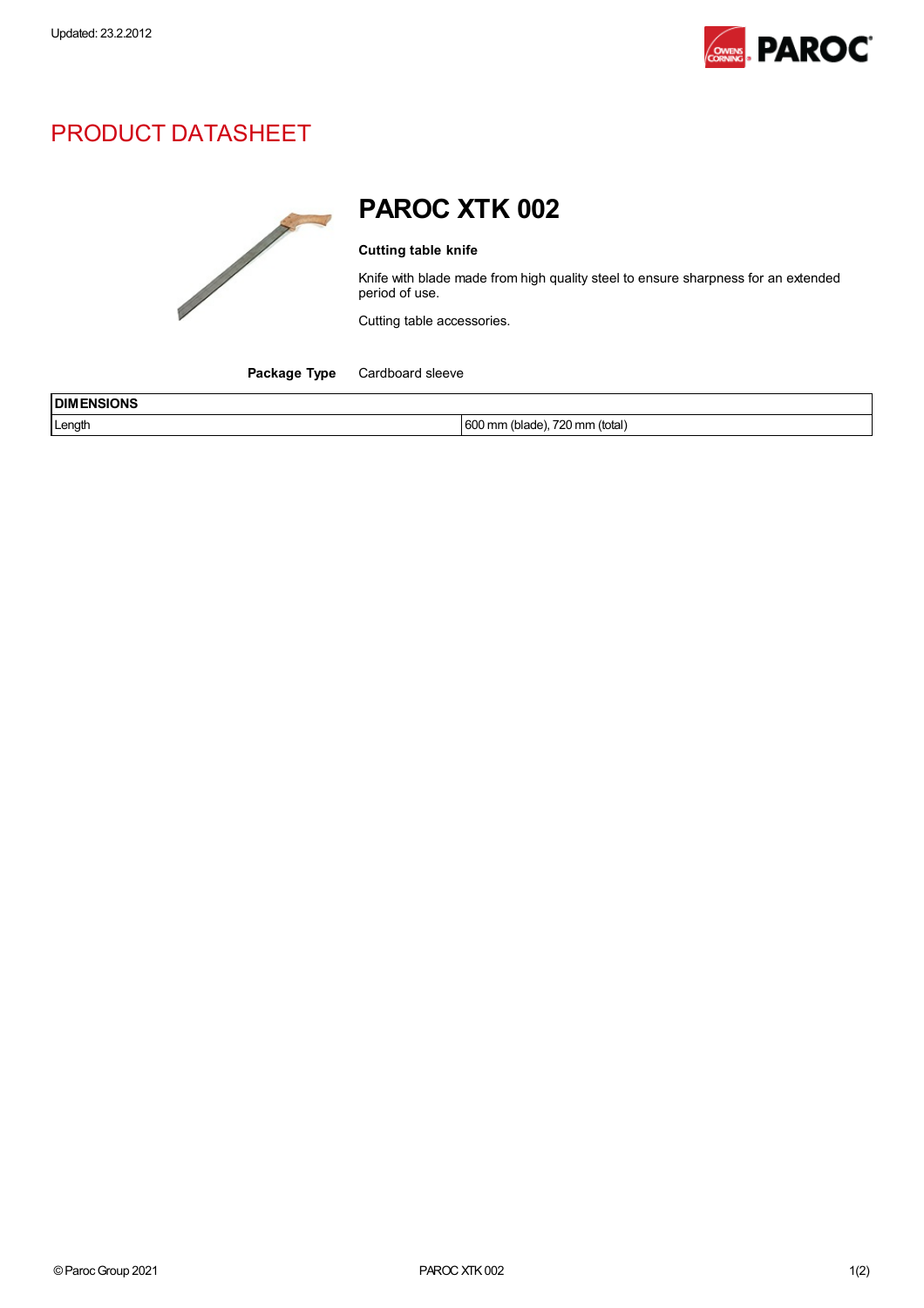

## PRODUCT DATASHEET



## PAROC XTK 002

## Cutting table knife

Knife with blade made from high quality steel to ensure sharpness for an extended period of use.

Cutting table accessories.

Package Type Cardboard sleeve

| <b>IDIM</b><br>ENSIONS<br>___ |                                                                        |
|-------------------------------|------------------------------------------------------------------------|
| Length                        | <b>GOO</b><br>700<br>(total<br>720 mm<br>(hlada)<br>) mm<br>uuu<br>wau |